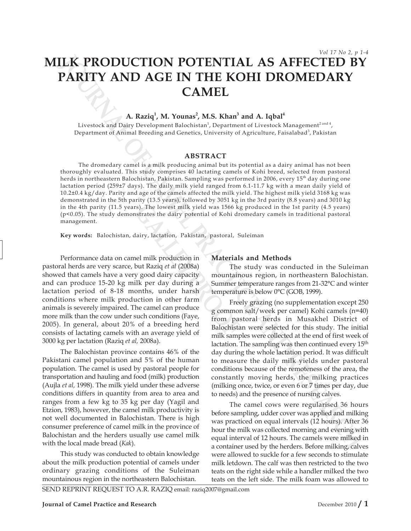# **MILK PRODUCTION POTENTIAL AS AFFECTED BY PARITY AND AGE IN THE KOHI DROMEDARY CAMEL**

## A. Raziq<sup>1</sup>, M. Younas<sup>2</sup>, M.S. Khan<sup>3</sup> and A. Iqbal<sup>4</sup>

Livestock and Dairy Development Balochistan<sup>1</sup>, Department of Livestock Management<sup>2 and 4</sup>, Department of Animal Breeding and Genetics, University of Agriculture, Faisalabad<sup>3</sup>, Pakistan

#### **ABSTRACT**

**ILAK PRODUCTION POTENTIAL AS AFFECTED BY**<br> **PARITY AND AGE IN THE KOHI DROMEDARY**<br>
CAMEL COMES ARRESPOND BY COMES ARRESPOND AND ARRESPOND AND A REPRESENTATIVE ARRESPONDED ARRESPONDED ARRESPOND A MODEL of the start of a s The dromedary camel is a milk producing animal but its potential as a dairy animal has not been thoroughly evaluated. This study comprises 40 lactating camels of Kohi breed, selected from pastoral herds in northeastern Balochistan, Pakistan. Sampling was performed in 2006, every 15<sup>th</sup> day during one lactation period (259±7 days). The daily milk yield ranged from 6.1-11.7 kg with a mean daily yield of 10.2±0.4 kg/day. Parity and age of the camels affected the milk yield. The highest milk yield 3168 kg was demonstrated in the 5th parity (13.5 years), followed by 3051 kg in the 3rd parity (8.8 years) and 3010 kg in the 4th parity (11.5 years). The lowest milk yield was 1566 kg produced in the 1st parity (4.5 years) (p<0.05). The study demonstrates the dairy potential of Kohi dromedary camels in traditional pastoral management.

**Key words:** Balochistan, dairy, lactation, Pakistan, pastoral, Suleiman

Fraction, Pakistan, pastoral, States the dairy potential of Kohi dreamstrates the dairy potential of Kohi dreamstrates the dairy potential of Kohi dreamstrates the dairy potential of Kohi dreamstrates but Raziq *et al* (20 Performance data on camel milk production in pastoral herds are very scarce, but Raziq *et al* (2008a) showed that camels have a very good dairy capacity and can produce 15-20 kg milk per day during a lactation period of 8-18 months, under harsh conditions where milk production in other farm animals is severely impaired. The camel can produce more milk than the cow under such conditions (Faye, 2005). In general, about 20% of a breeding herd consists of lactating camels with an average yield of 3000 kg per lactation (Raziq *et al,* 2008a).

The Balochistan province contains 46% of the Pakistani camel population and 5% of the human population. The camel is used by pastoral people for transportation and hauling and food (milk) production (Aujla *et al,* 1998). The milk yield under these adverse conditions differs in quantity from area to area and ranges from a few kg to 35 kg per day (Yagil and Etzion, 1983), however, the camel milk productivity is not well documented in Balochistan. There is high consumer preference of camel milk in the province of Balochistan and the herders usually use camel milk with the local made bread (*Kak*).

This study was conducted to obtain knowledge about the milk production potential of camels under ordinary grazing conditions of the Suleiman mountainous region in the northeastern Balochistan.

#### **Materials and Methods**

The study was conducted in the Suleiman mountainous region, in northeastern Balochistan. Summer temperature ranges from 21-32°C and winter temperature is below 0°C (GOB, 1999).

Freely grazing (no supplementation except 250 g common salt/week per camel) Kohi camels (n=40) from pastoral herds in Musakhel District of Balochistan were selected for this study. The initial milk samples were collected at the end of first week of lactation. The sampling was then continued every 15<sup>th</sup> day during the whole lactation period. It was difficult to measure the daily milk yields under pastoral conditions because of the remoteness of the area, the constantly moving herds, the milking practices (milking once, twice, or even 6 or 7 times per day, due to needs) and the presence of nursing calves.

The camel cows were regularised 36 hours before sampling, udder cover was applied and milking was practiced on equal intervals (12 hours). After 36 hour the milk was collected morning and evening with equal interval of 12 hours. The camels were milked in a container used by the herders. Before milking, calves were allowed to suckle for a few seconds to stimulate milk letdown. The calf was then restricted to the two teats on the right side while a handler milked the two teats on the left side. The milk foam was allowed to

SEND REPRINT REQUEST TO A.R. RAZIQ email: raziq2007@gmail.com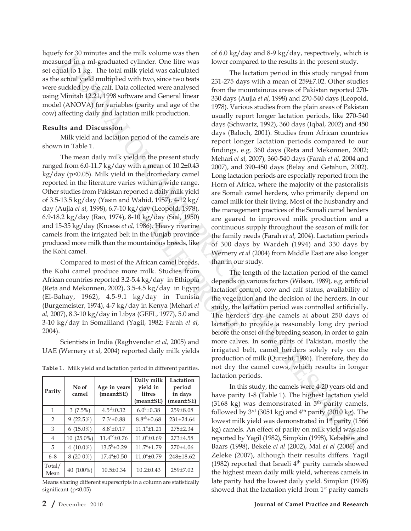liquefy for 30 minutes and the milk volume was then measured in a ml-graduated cylinder. One litre was set equal to 1 kg. The total milk yield was calculated as the actual yield multiplied with two, since two teats were suckled by the calf. Data collected were analysed using Minitab 12.21, 1998 software and General linear model (ANOVA) for variables (parity and age of the cow) affecting daily and lactation milk production.

### **Results and Discussion**

Milk yield and lactation period of the camels are shown in Table 1.

The mean daily milk yield in the present study ranged from 6.0-11.7 kg/day with a mean of 10.2±0.43 kg/day (p<0.05). Milk yield in the dromedary camel reported in the literature varies within a wide range. Other studies from Pakistan reported a daily milk yield of 3.5-13.5 kg/day (Yasin and Wahid, 1957), 4-12 kg/ day (Aujla *et al,* 1998), 6.7-10 kg/day (Leopold, 1978), 6.9-18.2 kg/day (Rao, 1974), 8-10 kg/day (Sial, 1950) and 15-35 kg/day (Knoess *et al,* 1986). Heavy riverine camels from the irrigated belt in the Punjab province produced more milk than the mountainous breeds, like the Kohi camel.

Valy (Leopold, 1978),<br>
the management of the management of the manner of the Funjab province<br>
in the Punjab province<br>
in the Punjab province<br>
the family of 300 da<br>
Wernery e<br>
African camel breeds, than in our<br>
e milk. Stu Compared to most of the African camel breeds, the Kohi camel produce more milk. Studies from African countries reported 3.2-5.4 kg/day in Ethiopia (Reta and Mekonnen, 2002), 3.5-4.5 kg/day in Egypt (El-Bahay, 1962), 4.5-9.1 kg/day in Tunisia (Burgemeister, 1974), 4-7 kg/day in Kenya (Mehari *et al,* 2007), 8.3-10 kg/day in Libya (GEFL, 1977), 5.0 and 3-10 kg/day in Somaliland (Yagil, 1982; Farah *et al,* 2004).

Scientists in India (Raghvendar *et al,* 2005) and UAE (Wernery *et al,* 2004) reported daily milk yields

**Table 1.** Milk yield and lactation period in different parities.

| Parity         | No of<br>camel | Age in years<br>$(mean \pm SE)$ | Daily milk<br>yield in<br><b>litres</b><br>$(mean \pm SE)$ | Lactation<br>period<br>in days<br>$(mean \pm SE)$ |
|----------------|----------------|---------------------------------|------------------------------------------------------------|---------------------------------------------------|
| 1              | 3(7.5%)        | $4.5^{\rm d}$ ±0.32             | $6.0^{b} \pm 0.38$                                         | 259±8.08                                          |
| 2              | 9(22.5%)       | $7.3^{\circ}$ ±0.88             | $8.8^{ab} \pm 0.68$                                        | $231 \pm 24.64$                                   |
| 3              | $6(15.0\%)$    | $8.8^{\circ}$ ±0.17             | $11.1^a \pm 1.21$                                          | 275±2.34                                          |
| $\overline{4}$ | $10(25.0\%)$   | $11.4^{bc}$ ±0.76               | $11.0^{\circ}$ ±0.69                                       | 273±4.58                                          |
| 5              | 4 $(10.0\%)$   | $13.5^{\rm b}$ ±0.29            | $11.7^{\circ}$ ±1.79                                       | 270±4.06                                          |
| $6 - 8$        | 8 (20 0%)      | $17.4^{\circ}$ ±0.50            | $11.0^{\circ}$ ±0.79                                       | 248±18.62                                         |
| Total/<br>Mean | 40 (100%)      | $10.5 \pm 0.34$                 | $10.2 \pm 0.43$                                            | 259±7.02                                          |

Means sharing different superscripts in a column are statistically significant (p<0.05)

of 6.0 kg/day and 8-9 kg/day, respectively, which is lower compared to the results in the present study.

**V** one for anomal of the threshold that the set of the set of the set of the set of the set of the set of the set of the set of the set of the set of the set of the set of the set of the set of the set of the set of the The lactation period in this study ranged from 231-275 days with a mean of 259±7.02. Other studies from the mountainous areas of Pakistan reported 270- 330 days (Aujla *et al,* 1998) and 270-540 days (Leopold, 1978). Various studies from the plain areas of Pakistan usually report longer lactation periods, like 270-540 days (Schwartz, 1992), 360 days (Iqbal, 2002) and 450 days (Baloch, 2001). Studies from African countries report longer lactation periods compared to our findings, e.g. 360 days (Reta and Mekonnen, 2002; Mehari *et al,* 2007), 360-540 days (Farah *et al,* 2004 and 2007), and 390-450 days (Belay and Getahun, 2002). Long lactation periods are especially reported from the Horn of Africa, where the majority of the pastoralists are Somali camel herders, who primarily depend on camel milk for their living. Most of the husbandry and the management practices of the Somali camel herders are geared to improved milk production and a continuous supply throughout the season of milk for the family needs (Farah *et al,* 2004). Lactation periods of 300 days by Wardeh (1994) and 330 days by Wernery *et al* (2004) from Middle East are also longer than in our study.

The length of the lactation period of the camel depends on various factors (Wilson, 1989), e.g. artificial lactation control, cow and calf status, availability of the vegetation and the decision of the herders. In our study, the lactation period was controlled artificially. The herders dry the camels at about 250 days of lactation to provide a reasonably long dry period before the onset of the breeding season, in order to gain more calves. In some parts of Pakistan, mostly the irrigated belt, camel herders solely rely on the production of milk (Qureshi, 1986). Therefore, they do not dry the camel cows, which results in longer lactation periods.

In this study, the camels were 4-20 years old and have parity 1-8 (Table 1). The highest lactation yield (3168 kg) was demonstrated in  $5<sup>th</sup>$  parity camels, followed by  $3<sup>rd</sup>$  (3051 kg) and  $4<sup>th</sup>$  parity (3010 kg). The lowest milk yield was demonstrated in 1<sup>st</sup> parity (1566) kg) camels. An effect of parity on milk yield was also reported by Yagil (1982), Simpkin (1998), Kebebew and Baars (1998), Bekele *et al* (2002), Mal *et al* (2006) and Zeleke (2007), although their results differs. Yagil (1982) reported that Israeli  $4<sup>th</sup>$  parity camels showed the highest mean daily milk yield, whereas camels in late parity had the lowest daily yield. Simpkin (1998) showed that the lactation yield from 1<sup>st</sup> parity camels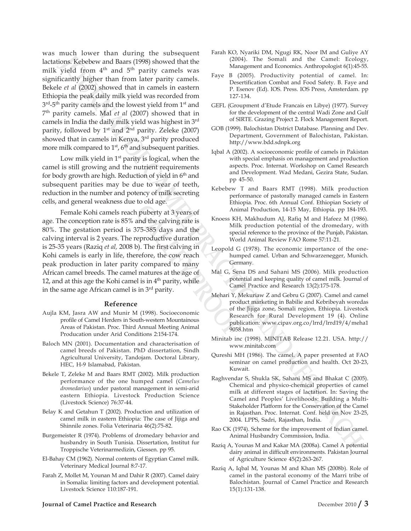The particle and the control of the small and the Camel and the Camel And The Camel And The Camel And The Camel And The Camel And The Camel And The Camel And The Camel And The Camel And The Camel And The Camel And The Cam was much lower than during the subsequent lactations. Kebebew and Baars (1998) showed that the milk yield from 4<sup>th</sup> and 5<sup>th</sup> parity camels was significantly higher than from later parity camels. Bekele *et al* (2002) showed that in camels in eastern Ethiopia the peak daily milk yield was recorded from 3<sup>rd</sup>-5<sup>th</sup> parity camels and the lowest yield from 1<sup>st</sup> and 7th parity camels. Mal *et al* (2007) showed that in camels in India the daily milk yield was highest in 3rd parity, followed by  $1<sup>st</sup>$  and  $2<sup>nd</sup>$  parity. Zeleke (2007) showed that in camels in Kenya, 3<sup>rd</sup> parity produced more milk compared to  $1<sup>st</sup>$ ,  $6<sup>th</sup>$  and subsequent parities.

Low milk yield in  $1<sup>st</sup>$  parity is logical, when the camel is still growing and the nutrient requirements for body growth are high. Reduction of yield in 6<sup>th</sup> and subsequent parities may be due to wear of teeth, reduction in the number and potency of milk secreting cells, and general weakness due to old age.

**Example 18 and the calving rate is**<br> **Anim**<br>
and the calving rate is<br>
375-385 days and the<br>
reproductive duration<br>
b). The first calving in<br>
Leopold G<br>
refore, the cow reach<br>
y compared to many<br>
arefore, the cow reach<br>
pr Female Kohi camels reach puberty at 3 years of age. The conception rate is 85% and the calving rate is 80%. The gestation period is 375-385 days and the calving interval is 2 years. The reproductive duration is 25-35 years (Raziq *et al,* 2008 b). The first calving in Kohi camels is early in life, therefore, the cow reach peak production in later parity compared to many African camel breeds. The camel matures at the age of 12, and at this age the Kohi camel is in  $4<sup>th</sup>$  parity, while in the same age African camel is in 3<sup>rd</sup> parity.

#### **Reference**

- Aujla KM, Jasra AW and Munir M (1998). Socioeconomic profile of Camel Herders in South-western Mountainous Areas of Pakistan. Proc. Third Annual Meeting Animal Producation under Arid Conditions 2:154-174.
- Baloch MN (2001). Documentation and characterisation of camel breeds of Pakistan. PhD dissertation, Sindh Agricultural University, Tandojam. Doctoral Library, HEC, H-9 Islamabad, Pakistan.
- Bekele T, Zeleke M and Baars RMT (2002). Milk production performance of the one humped camel (*Camelus dromedarius*) under pastoral management in semi-arid eastern Ethiopia. Livestock Production Science (Livestock Science) 76:37-44.
- Belay K and Getahun T (2002). Production and utilization of camel milk in eastern Ethiopia: The case of Jijiga and Shinnile zones. Folia Veterinaria 46(2):75-82.
- Burgemeister R (1974). Problems of dromedary behavior and husbandry in South Tunisia. Dissertation, Institut fur Troppische Veterinarmedizin, Giessen. pp 95.
- El-Bahay CM (1962). Normal contents of Egyptian Camel milk. Veterinary Medical Journal 8:7-17.
- Farah Z, Mollet M, Younan M and Dahir R (2007). Camel dairy in Somalia: limiting factors and development potential. Livestock Science 110:187-191.
- Farah KO, Nyariki DM, Ngugi RK, Noor IM and Guliye AY (2004). The Somali and the Camel: Ecology, Management and Economics. Anthropologist 6(1):45-55.
- Faye B (2005). Productivity potential of camel. In: Desertification Combat and Food Safety. B. Faye and P. Esenov (Ed). IOS. Press. IOS Press, Amsterdam. pp 127-134.
- GEFL (Groupment d'Etude Francais en Libye) (1977). Survey for the development of the central Wadi Zone and Gulf of SIRTE. Grazing Project 2. Flock Management Report.
- GOB (1999). Balochistan District Database. Planning and Dev. Department, Government of Balochistan, Pakistan. http://www.bdd.sdnpk.org
- Iqbal A (2002). A socioeconomic profile of camels in Pakistan with special emphasis on management and production aspects. Proc. Internat. Workshop on Camel Research and Development. Wad Medani, Gezira State, Sudan. pp 45-50.
- Kebebew T and Baars RMT (1998). Milk production performance of pastorally managed camels in Eastern Ethiopia. Proc. 6th Annual Conf. Ethiopian Society of Animal Production, 14-15 May, Ethiopia. pp 184-193.
- Knoess KH, Makhudum AJ, Rafiq M and Hafeez M (1986). Milk production potential of the dromedary, with special reference to the province of the Punjab, Pakistan. World Animal Review FAO Rome 57:11-21.
- Leopold G (1978). The economic importance of the onehumped camel. Urban and Schwarzenegger, Munich. Germany.
- Mal G, Sena DS and Sahani MS (2006). Milk production potential and keeping quality of camel milk. Journal of Camel Practice and Research 13(2):175-178.
- Mehari Y, Mekuriaw Z and Gebru G (2007). Camel and camel product marketing in Babilie and Kebribeyah woredas of the Jijiga zone, Somali region, Ethiopia. Livestock Research for Rural Development 19 (4). Online publication: www.cipav.org.co/lrrd/lrrd19/4/meha1 9058.htm
- Minitab inc (1998). MINITAB Release 12.21. USA. http:// www.minitab.com
- Qureshi MH (1986). The camel. A paper presented at FAO seminar on camel production and health. Oct 20-23, Kuwait.
- Raghvendar S, Shukla SK, Sahani MS and Bhakat C (2005). Chemical and physico-chemical properties of camel milk at different stages of lactation. In: Saving the Camel and Peoples' Livelihoods: Building a Multi-Stakeholder Platform for the Conservation of the Camel in Rajasthan. Proc. Internat. Conf. held on Nov 23-25, 2004. LPPS, Sadri, Rajasthan, India.
- Rao CK (1974). Scheme for the improvement of Indian camel. Animal Husbandry Commission, India.
- Raziq A, Younas M and Kakar MA (2008a). Camel A potential dairy animal in difficult environments. Pakistan Journal of Agriculture Science 45(2):263-267.
- Raziq A, Iqbal M, Younas M and Khan MS (2008b). Role of camel in the pastoral economy of the Marri tribe of Balochistan. Journal of Camel Practice and Research 15(1):131-138.